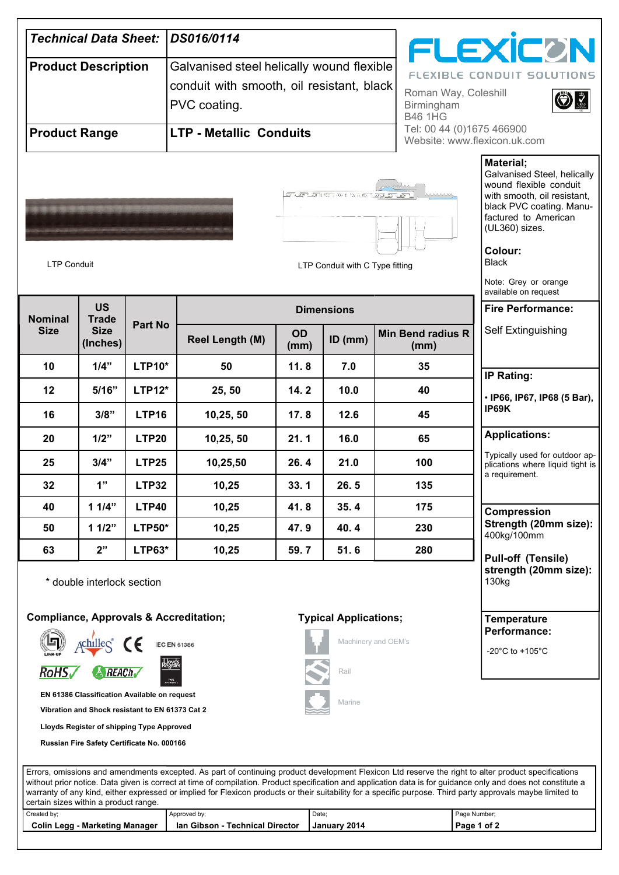| <b>Technical Data Sheet:</b>  |                                                                                                                                              |                | DS016/0114                                                                                                                                   |                   |                                 |                                             | <b>FLEXICON</b>                                                                                                                                                                                                                                           |
|-------------------------------|----------------------------------------------------------------------------------------------------------------------------------------------|----------------|----------------------------------------------------------------------------------------------------------------------------------------------|-------------------|---------------------------------|---------------------------------------------|-----------------------------------------------------------------------------------------------------------------------------------------------------------------------------------------------------------------------------------------------------------|
| <b>Product Description</b>    |                                                                                                                                              |                | Galvanised steel helically wound flexible<br>conduit with smooth, oil resistant, black<br>Roman Way, Coleshill<br>PVC coating.<br>Birmingham |                   |                                 |                                             | <b>FLEXIBLE CONDUIT SOLUTIONS</b>                                                                                                                                                                                                                         |
| <b>Product Range</b>          |                                                                                                                                              |                | <b>LTP - Metallic Conduits</b>                                                                                                               |                   |                                 | <b>B46 1HG</b><br>Tel: 00 44 (0)1675 466900 | Website: www.flexicon.uk.com                                                                                                                                                                                                                              |
| <b>LTP Conduit</b>            |                                                                                                                                              |                |                                                                                                                                              |                   | LTP Conduit with C Type fitting |                                             | <b>Material:</b><br>Galvanised Steel, helically<br>wound flexible conduit<br>with smooth, oil resistant,<br>black PVC coating. Manu-<br>factured to American<br>(UL360) sizes.<br>Colour:<br><b>Black</b><br>Note: Grey or orange<br>available on request |
|                               | <b>US</b><br><b>Trade</b><br><b>Size</b><br>(Inches)                                                                                         | <b>Part No</b> | <b>Dimensions</b>                                                                                                                            |                   |                                 | <b>Fire Performance:</b>                    |                                                                                                                                                                                                                                                           |
| <b>Nominal</b><br><b>Size</b> |                                                                                                                                              |                | <b>Reel Length (M)</b>                                                                                                                       | <b>OD</b><br>(mm) | $ID$ (mm)                       | <b>Min Bend radius R</b><br>(mm)            | Self Extinguishing                                                                                                                                                                                                                                        |
| 10                            | 1/4"                                                                                                                                         | <b>LTP10*</b>  | 50                                                                                                                                           | 11.8              | 7.0                             | 35                                          | <b>IP Rating:</b>                                                                                                                                                                                                                                         |
| 12                            | 5/16"                                                                                                                                        | <b>LTP12*</b>  | 25, 50                                                                                                                                       | 14.2              | 10.0                            | 40                                          | · IP66, IP67, IP68 (5 Bar),                                                                                                                                                                                                                               |
| 16                            | 3/8"                                                                                                                                         | <b>LTP16</b>   | 10,25,50                                                                                                                                     | 17.8              | 12.6                            | 45                                          | IP69K                                                                                                                                                                                                                                                     |
| 20                            | 1/2"                                                                                                                                         | LTP20          | 10,25,50                                                                                                                                     | 21.1              | 16.0                            | 65                                          | <b>Applications:</b>                                                                                                                                                                                                                                      |
| 25                            | 3/4"                                                                                                                                         | <b>LTP25</b>   | 10,25,50                                                                                                                                     | 26.4              | 21.0                            | 100                                         | Typically used for outdoor ap-<br>plications where liquid tight is                                                                                                                                                                                        |
| 32                            | 1"                                                                                                                                           | <b>LTP32</b>   | 10,25                                                                                                                                        | 33.1              | 26.5                            | 135                                         | a requirement.                                                                                                                                                                                                                                            |
| 40                            | 11/4"                                                                                                                                        | <b>LTP40</b>   | 10,25                                                                                                                                        | 41.8              | 35.4                            | 175                                         | Compression                                                                                                                                                                                                                                               |
| 50                            | 11/2"                                                                                                                                        | <b>LTP50*</b>  | 10,25                                                                                                                                        | 47.9              | 40.4                            | 230                                         | Strength (20mm size):<br>400kg/100mm                                                                                                                                                                                                                      |
| 63                            | 2"                                                                                                                                           | <b>LTP63*</b>  | 10,25                                                                                                                                        | 59.7              | 51.6                            | 280                                         | <b>Pull-off (Tensile)</b>                                                                                                                                                                                                                                 |
|                               | * double interlock section                                                                                                                   |                |                                                                                                                                              |                   |                                 |                                             | strength (20mm size):<br>130kg                                                                                                                                                                                                                            |
|                               |                                                                                                                                              |                | <b>Compliance, Approvals &amp; Accreditation;</b>                                                                                            |                   | <b>Typical Applications;</b>    | Machinery and OEM's                         | <b>Temperature</b><br>Performance:                                                                                                                                                                                                                        |
| <b>RoHS√</b>                  | $\triangle$ REACh                                                                                                                            |                | <b>IEC EN 61386</b><br>TYPE<br>FERNA                                                                                                         |                   | Rail                            |                                             | -20 $^{\circ}$ C to +105 $^{\circ}$ C                                                                                                                                                                                                                     |
|                               | EN 61386 Classification Available on request<br>Vibration and Shock resistant to EN 61373 Cat 2<br>Lloyds Register of shipping Type Approved |                |                                                                                                                                              |                   | Marine                          |                                             |                                                                                                                                                                                                                                                           |

| $\sim$ contain sizcs within a product range. |                                 |                     |              |
|----------------------------------------------|---------------------------------|---------------------|--------------|
| Created by;                                  | Approved by:                    | Date:               | Page Number: |
| Colin Legg - Marketing Manager               | Ian Gibson - Technical Director | <b>January 2014</b> | Page 1 of 2  |